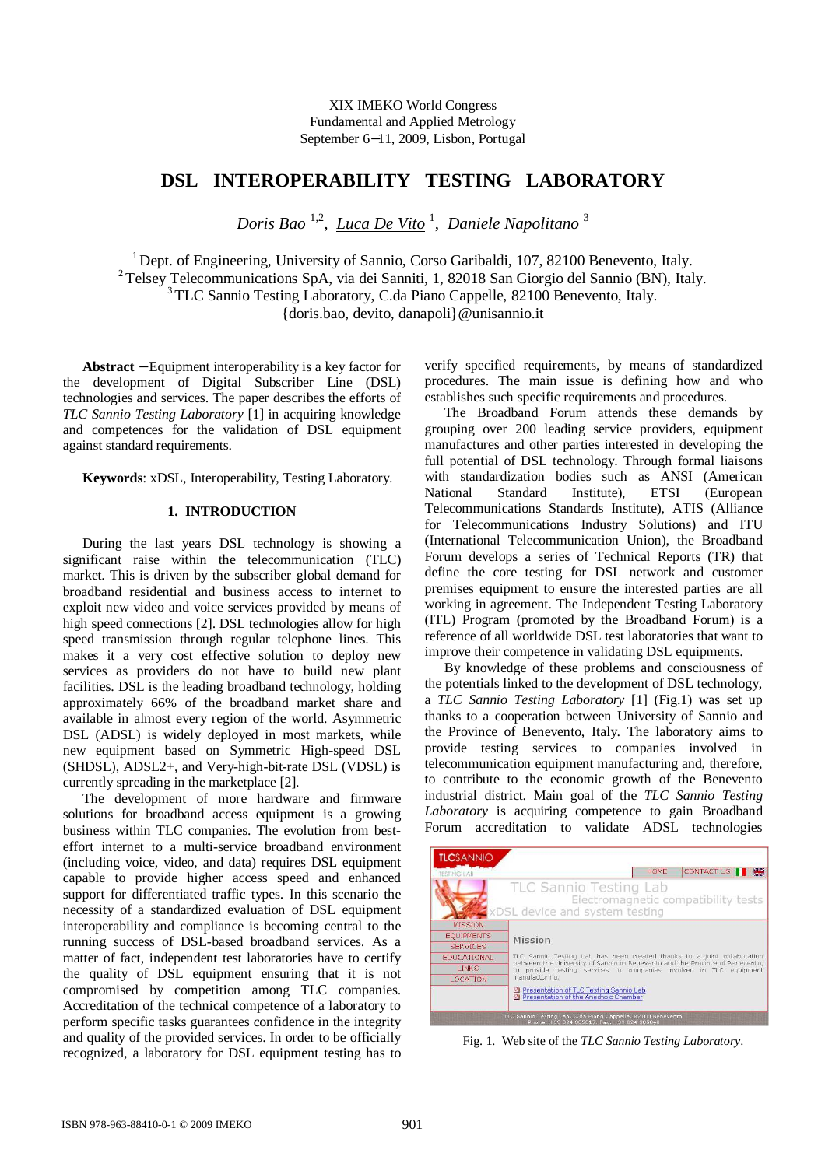# **DSL INTEROPERABILITY TESTING LABORATORY**

*Doris Bao* 1,2*, Luca De Vito* <sup>1</sup> , *Daniele Napolitano* <sup>3</sup>

<sup>1</sup> Dept. of Engineering, University of Sannio, Corso Garibaldi, 107, 82100 Benevento, Italy. <sup>2</sup>Telsey Telecommunications SpA, via dei Sanniti, 1, 82018 San Giorgio del Sannio (BN), Italy. <sup>3</sup>TLC Sannio Testing Laboratory, C.da Piano Cappelle, 82100 Benevento, Italy. {doris.bao, devito, danapoli}@unisannio.it

**Abstract** − Equipment interoperability is a key factor for the development of Digital Subscriber Line (DSL) technologies and services. The paper describes the efforts of *TLC Sannio Testing Laboratory* [1] in acquiring knowledge and competences for the validation of DSL equipment against standard requirements.

**Keywords**: xDSL, Interoperability, Testing Laboratory.

### **1. INTRODUCTION**

During the last years DSL technology is showing a significant raise within the telecommunication (TLC) market. This is driven by the subscriber global demand for broadband residential and business access to internet to exploit new video and voice services provided by means of high speed connections [2]. DSL technologies allow for high speed transmission through regular telephone lines. This makes it a very cost effective solution to deploy new services as providers do not have to build new plant facilities. DSL is the leading broadband technology, holding approximately 66% of the broadband market share and available in almost every region of the world. Asymmetric DSL (ADSL) is widely deployed in most markets, while new equipment based on Symmetric High-speed DSL (SHDSL), ADSL2+, and Very-high-bit-rate DSL (VDSL) is currently spreading in the marketplace [2].

The development of more hardware and firmware solutions for broadband access equipment is a growing business within TLC companies. The evolution from besteffort internet to a multi-service broadband environment (including voice, video, and data) requires DSL equipment capable to provide higher access speed and enhanced support for differentiated traffic types. In this scenario the necessity of a standardized evaluation of DSL equipment interoperability and compliance is becoming central to the running success of DSL-based broadband services. As a matter of fact, independent test laboratories have to certify the quality of DSL equipment ensuring that it is not compromised by competition among TLC companies. Accreditation of the technical competence of a laboratory to perform specific tasks guarantees confidence in the integrity and quality of the provided services. In order to be officially recognized, a laboratory for DSL equipment testing has to verify specified requirements, by means of standardized procedures. The main issue is defining how and who establishes such specific requirements and procedures.

The Broadband Forum attends these demands by grouping over 200 leading service providers, equipment manufactures and other parties interested in developing the full potential of DSL technology. Through formal liaisons with standardization bodies such as ANSI (American National Standard Institute), ETSI (European Telecommunications Standards Institute), ATIS (Alliance for Telecommunications Industry Solutions) and ITU (International Telecommunication Union), the Broadband Forum develops a series of Technical Reports (TR) that define the core testing for DSL network and customer premises equipment to ensure the interested parties are all working in agreement. The Independent Testing Laboratory (ITL) Program (promoted by the Broadband Forum) is a reference of all worldwide DSL test laboratories that want to improve their competence in validating DSL equipments.

By knowledge of these problems and consciousness of the potentials linked to the development of DSL technology, a *TLC Sannio Testing Laboratory* [1] (Fig.1) was set up thanks to a cooperation between University of Sannio and the Province of Benevento, Italy. The laboratory aims to provide testing services to companies involved in telecommunication equipment manufacturing and, therefore, to contribute to the economic growth of the Benevento industrial district. Main goal of the *TLC Sannio Testing Laboratory* is acquiring competence to gain Broadband Forum accreditation to validate ADSL technologies

| <b>TESTING LAB</b> | CONTACT US<br>黑<br><b>HOME</b>                                                                                                                                                                                                                  |  |  |  |
|--------------------|-------------------------------------------------------------------------------------------------------------------------------------------------------------------------------------------------------------------------------------------------|--|--|--|
|                    | TLC Sannio Testing Lab<br>Electromagnetic compatibility tests<br>xDSL device and system testing                                                                                                                                                 |  |  |  |
| <b>MISSION</b>     |                                                                                                                                                                                                                                                 |  |  |  |
| <b>EQUIPMENTS</b>  | Mission                                                                                                                                                                                                                                         |  |  |  |
| <b>SERVICES</b>    |                                                                                                                                                                                                                                                 |  |  |  |
| <b>EDUCATIONAL</b> | TLC Sannio Testing Lab has been created thanks to a joint collaboration<br>between the University of Sannio in Benevento and the Province of Benevento.<br>to provide testing services to companies involved in TLC equipment<br>manufacturing. |  |  |  |
| LINKS:             |                                                                                                                                                                                                                                                 |  |  |  |
| <b>LOCATION</b>    |                                                                                                                                                                                                                                                 |  |  |  |
|                    | Presentation of TLC Testing Sannio Lab<br>Presentation of the Anechoic Chamber                                                                                                                                                                  |  |  |  |

Fig. 1. Web site of the *TLC Sannio Testing Laboratory*.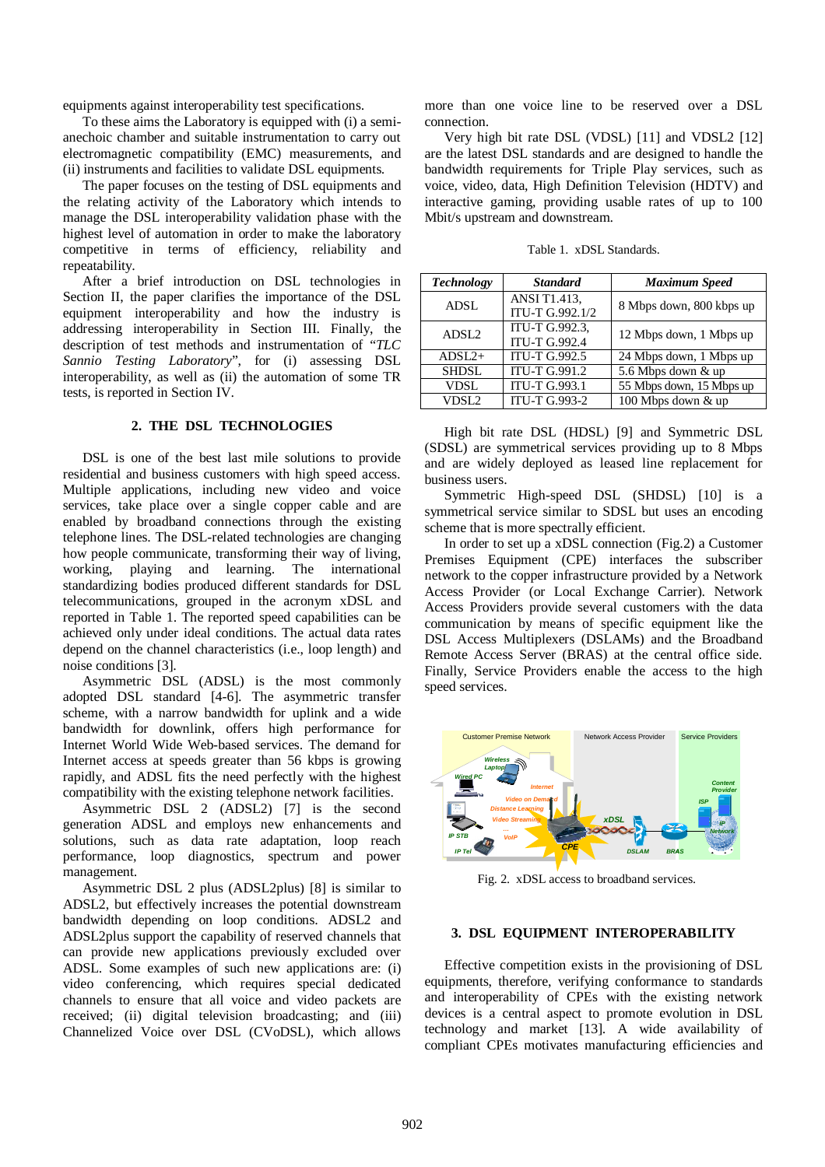equipments against interoperability test specifications.

To these aims the Laboratory is equipped with (i) a semianechoic chamber and suitable instrumentation to carry out electromagnetic compatibility (EMC) measurements, and (ii) instruments and facilities to validate DSL equipments.

The paper focuses on the testing of DSL equipments and the relating activity of the Laboratory which intends to manage the DSL interoperability validation phase with the highest level of automation in order to make the laboratory competitive in terms of efficiency, reliability and repeatability.

After a brief introduction on DSL technologies in Section II, the paper clarifies the importance of the DSL equipment interoperability and how the industry is addressing interoperability in Section III. Finally, the description of test methods and instrumentation of "*TLC Sannio Testing Laboratory*", for (i) assessing DSL interoperability, as well as (ii) the automation of some TR tests, is reported in Section IV.

#### **2. THE DSL TECHNOLOGIES**

DSL is one of the best last mile solutions to provide residential and business customers with high speed access. Multiple applications, including new video and voice services, take place over a single copper cable and are enabled by broadband connections through the existing telephone lines. The DSL-related technologies are changing how people communicate, transforming their way of living, working, playing and learning. The international standardizing bodies produced different standards for DSL telecommunications, grouped in the acronym xDSL and reported in Table 1. The reported speed capabilities can be achieved only under ideal conditions. The actual data rates depend on the channel characteristics (i.e., loop length) and noise conditions [3].

Asymmetric DSL (ADSL) is the most commonly adopted DSL standard [4-6]. The asymmetric transfer scheme, with a narrow bandwidth for uplink and a wide bandwidth for downlink, offers high performance for Internet World Wide Web-based services. The demand for Internet access at speeds greater than 56 kbps is growing rapidly, and ADSL fits the need perfectly with the highest compatibility with the existing telephone network facilities.

Asymmetric DSL 2 (ADSL2) [7] is the second generation ADSL and employs new enhancements and solutions, such as data rate adaptation, loop reach performance, loop diagnostics, spectrum and power management.

Asymmetric DSL 2 plus (ADSL2plus) [8] is similar to ADSL2, but effectively increases the potential downstream bandwidth depending on loop conditions. ADSL2 and ADSL2plus support the capability of reserved channels that can provide new applications previously excluded over ADSL. Some examples of such new applications are: (i) video conferencing, which requires special dedicated channels to ensure that all voice and video packets are received; (ii) digital television broadcasting; and (iii) Channelized Voice over DSL (CVoDSL), which allows

more than one voice line to be reserved over a DSL connection.

Very high bit rate DSL (VDSL) [11] and VDSL2 [12] are the latest DSL standards and are designed to handle the bandwidth requirements for Triple Play services, such as voice, video, data, High Definition Television (HDTV) and interactive gaming, providing usable rates of up to 100 Mbit/s upstream and downstream.

Table 1. xDSL Standards.

| <b>Technology</b> | <b>Standard</b>      | <b>Maximum Speed</b>     |  |
|-------------------|----------------------|--------------------------|--|
| ADSL              | <b>ANSI T1.413.</b>  | 8 Mbps down, 800 kbps up |  |
|                   | ITU-T G.992.1/2      |                          |  |
| ADSL <sub>2</sub> | ITU-T G.992.3,       | 12 Mbps down, 1 Mbps up  |  |
|                   | <b>ITU-T G.992.4</b> |                          |  |
| $ADSL2+$          | <b>ITU-T G.992.5</b> | 24 Mbps down, 1 Mbps up  |  |
| <b>SHDSL</b>      | ITU-T G.991.2        | 5.6 Mbps down & up       |  |
| <b>VDSL</b>       | ITU-T G.993.1        | 55 Mbps down, 15 Mbps up |  |
| VDSL <sub>2</sub> | <b>ITU-T G.993-2</b> | 100 Mbps down & up       |  |

High bit rate DSL (HDSL) [9] and Symmetric DSL (SDSL) are symmetrical services providing up to 8 Mbps and are widely deployed as leased line replacement for business users.

Symmetric High-speed DSL (SHDSL) [10] is a symmetrical service similar to SDSL but uses an encoding scheme that is more spectrally efficient.

In order to set up a xDSL connection (Fig.2) a Customer Premises Equipment (CPE) interfaces the subscriber network to the copper infrastructure provided by a Network Access Provider (or Local Exchange Carrier). Network Access Providers provide several customers with the data communication by means of specific equipment like the DSL Access Multiplexers (DSLAMs) and the Broadband Remote Access Server (BRAS) at the central office side. Finally, Service Providers enable the access to the high speed services.



Fig. 2. xDSL access to broadband services.

#### **3. DSL EQUIPMENT INTEROPERABILITY**

Effective competition exists in the provisioning of DSL equipments, therefore, verifying conformance to standards and interoperability of CPEs with the existing network devices is a central aspect to promote evolution in DSL technology and market [13]. A wide availability of compliant CPEs motivates manufacturing efficiencies and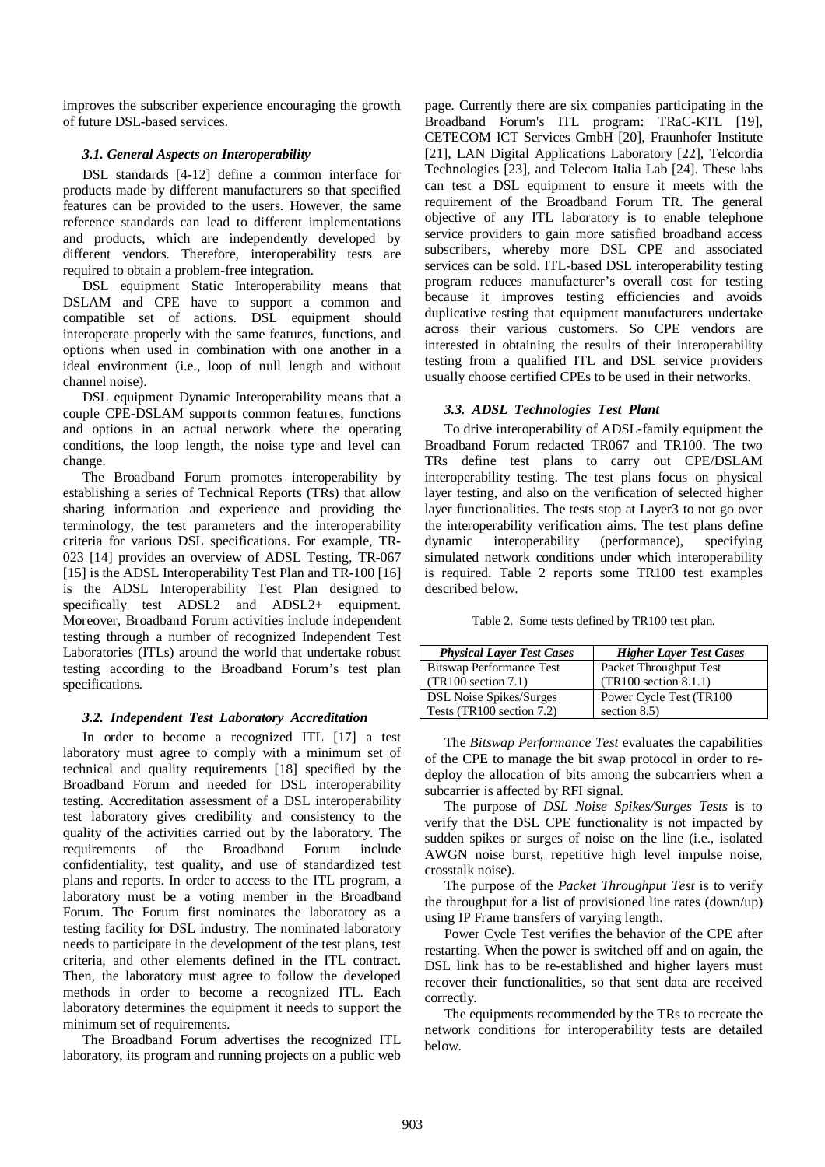improves the subscriber experience encouraging the growth of future DSL-based services.

## *3.1. General Aspects on Interoperability*

DSL standards [4-12] define a common interface for products made by different manufacturers so that specified features can be provided to the users. However, the same reference standards can lead to different implementations and products, which are independently developed by different vendors. Therefore, interoperability tests are required to obtain a problem-free integration.

DSL equipment Static Interoperability means that DSLAM and CPE have to support a common and compatible set of actions. DSL equipment should interoperate properly with the same features, functions, and options when used in combination with one another in a ideal environment (i.e., loop of null length and without channel noise).

DSL equipment Dynamic Interoperability means that a couple CPE-DSLAM supports common features, functions and options in an actual network where the operating conditions, the loop length, the noise type and level can change.

The Broadband Forum promotes interoperability by establishing a series of Technical Reports (TRs) that allow sharing information and experience and providing the terminology, the test parameters and the interoperability criteria for various DSL specifications. For example, TR-023 [14] provides an overview of ADSL Testing, TR-067 [15] is the ADSL Interoperability Test Plan and TR-100 [16] is the ADSL Interoperability Test Plan designed to specifically test ADSL2 and ADSL2+ equipment. Moreover, Broadband Forum activities include independent testing through a number of recognized Independent Test Laboratories (ITLs) around the world that undertake robust testing according to the Broadband Forum's test plan specifications.

## *3.2. Independent Test Laboratory Accreditation*

In order to become a recognized ITL [17] a test laboratory must agree to comply with a minimum set of technical and quality requirements [18] specified by the Broadband Forum and needed for DSL interoperability testing. Accreditation assessment of a DSL interoperability test laboratory gives credibility and consistency to the quality of the activities carried out by the laboratory. The requirements of the Broadband Forum include confidentiality, test quality, and use of standardized test plans and reports. In order to access to the ITL program, a laboratory must be a voting member in the Broadband Forum. The Forum first nominates the laboratory as a testing facility for DSL industry. The nominated laboratory needs to participate in the development of the test plans, test criteria, and other elements defined in the ITL contract. Then, the laboratory must agree to follow the developed methods in order to become a recognized ITL. Each laboratory determines the equipment it needs to support the minimum set of requirements.

The Broadband Forum advertises the recognized ITL laboratory, its program and running projects on a public web page. Currently there are six companies participating in the Broadband Forum's ITL program: TRaC-KTL [19], CETECOM ICT Services GmbH [20], Fraunhofer Institute [21], LAN Digital Applications Laboratory [22], Telcordia Technologies [23], and Telecom Italia Lab [24]. These labs can test a DSL equipment to ensure it meets with the requirement of the Broadband Forum TR. The general objective of any ITL laboratory is to enable telephone service providers to gain more satisfied broadband access subscribers, whereby more DSL CPE and associated services can be sold. ITL-based DSL interoperability testing program reduces manufacturer's overall cost for testing because it improves testing efficiencies and avoids duplicative testing that equipment manufacturers undertake across their various customers. So CPE vendors are interested in obtaining the results of their interoperability testing from a qualified ITL and DSL service providers usually choose certified CPEs to be used in their networks.

## *3.3. ADSL Technologies Test Plant*

To drive interoperability of ADSL-family equipment the Broadband Forum redacted TR067 and TR100. The two TRs define test plans to carry out CPE/DSLAM interoperability testing. The test plans focus on physical layer testing, and also on the verification of selected higher layer functionalities. The tests stop at Layer3 to not go over the interoperability verification aims. The test plans define dynamic interoperability (performance), specifying simulated network conditions under which interoperability is required. Table 2 reports some TR100 test examples described below.

|  |  |  | Table 2. Some tests defined by TR100 test plan. |
|--|--|--|-------------------------------------------------|
|--|--|--|-------------------------------------------------|

| <b>Physical Layer Test Cases</b> | <b>Higher Layer Test Cases</b> |
|----------------------------------|--------------------------------|
| <b>Bitswap Performance Test</b>  | Packet Throughput Test         |
| (TR100 section 7.1)              | (TR100 section 8.1.1)          |
| <b>DSL Noise Spikes/Surges</b>   | Power Cycle Test (TR100)       |
| Tests (TR100 section 7.2)        | section $8.5$ )                |

The *Bitswap Performance Test* evaluates the capabilities of the CPE to manage the bit swap protocol in order to redeploy the allocation of bits among the subcarriers when a subcarrier is affected by RFI signal.

The purpose of *DSL Noise Spikes/Surges Tests* is to verify that the DSL CPE functionality is not impacted by sudden spikes or surges of noise on the line (i.e., isolated AWGN noise burst, repetitive high level impulse noise, crosstalk noise).

The purpose of the *Packet Throughput Test* is to verify the throughput for a list of provisioned line rates (down/up) using IP Frame transfers of varying length.

Power Cycle Test verifies the behavior of the CPE after restarting. When the power is switched off and on again, the DSL link has to be re-established and higher layers must recover their functionalities, so that sent data are received correctly.

The equipments recommended by the TRs to recreate the network conditions for interoperability tests are detailed below.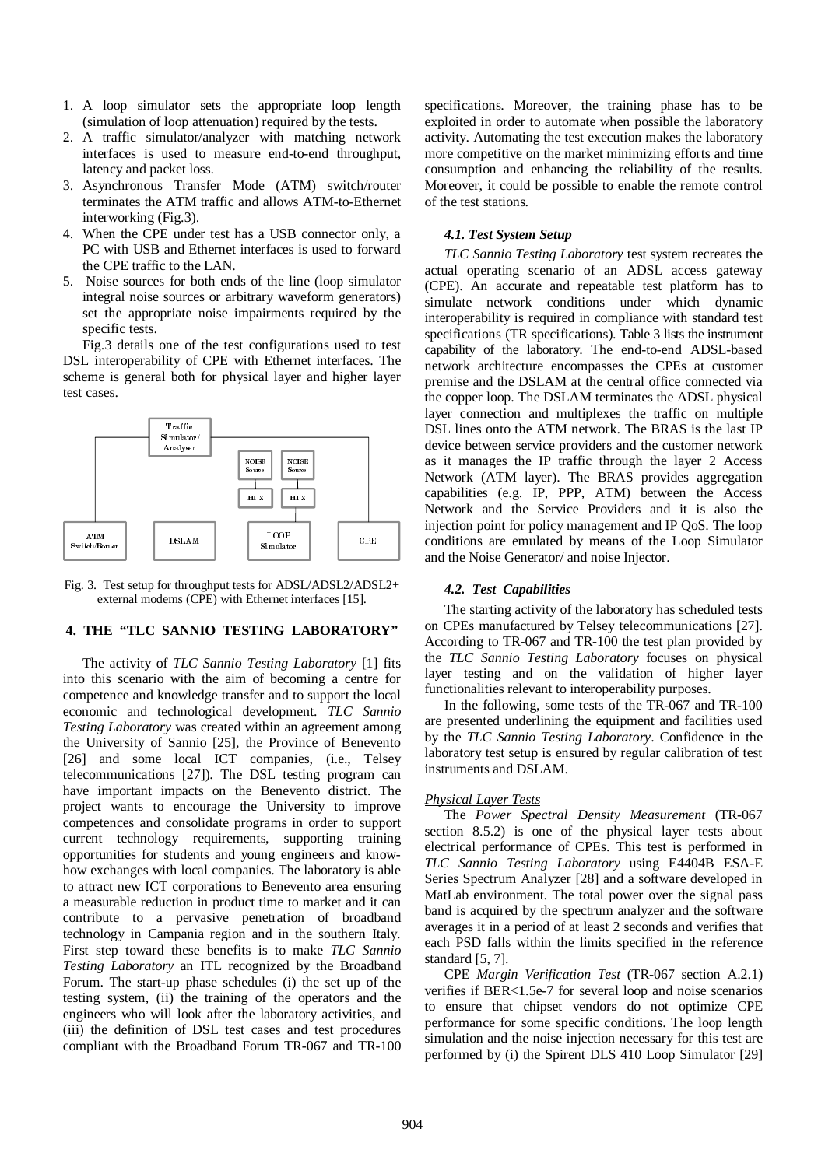- 1. A loop simulator sets the appropriate loop length (simulation of loop attenuation) required by the tests.
- 2. A traffic simulator/analyzer with matching network interfaces is used to measure end-to-end throughput, latency and packet loss.
- 3. Asynchronous Transfer Mode (ATM) switch/router terminates the ATM traffic and allows ATM-to-Ethernet interworking (Fig.3).
- 4. When the CPE under test has a USB connector only, a PC with USB and Ethernet interfaces is used to forward the CPE traffic to the LAN.
- 5. Noise sources for both ends of the line (loop simulator integral noise sources or arbitrary waveform generators) set the appropriate noise impairments required by the specific tests.

Fig.3 details one of the test configurations used to test DSL interoperability of CPE with Ethernet interfaces. The scheme is general both for physical layer and higher layer test cases.



Fig. 3. Test setup for throughput tests for ADSL/ADSL2/ADSL2+ external modems (CPE) with Ethernet interfaces [15].

## **4. THE "TLC SANNIO TESTING LABORATORY"**

The activity of *TLC Sannio Testing Laboratory* [1] fits into this scenario with the aim of becoming a centre for competence and knowledge transfer and to support the local economic and technological development. *TLC Sannio Testing Laboratory* was created within an agreement among the University of Sannio [25], the Province of Benevento [26] and some local ICT companies, (i.e., Telsey telecommunications [27]). The DSL testing program can have important impacts on the Benevento district. The project wants to encourage the University to improve competences and consolidate programs in order to support current technology requirements, supporting training opportunities for students and young engineers and knowhow exchanges with local companies. The laboratory is able to attract new ICT corporations to Benevento area ensuring a measurable reduction in product time to market and it can contribute to a pervasive penetration of broadband technology in Campania region and in the southern Italy. First step toward these benefits is to make *TLC Sannio Testing Laboratory* an ITL recognized by the Broadband Forum. The start-up phase schedules (i) the set up of the testing system, (ii) the training of the operators and the engineers who will look after the laboratory activities, and (iii) the definition of DSL test cases and test procedures compliant with the Broadband Forum TR-067 and TR-100 specifications. Moreover, the training phase has to be exploited in order to automate when possible the laboratory activity. Automating the test execution makes the laboratory more competitive on the market minimizing efforts and time consumption and enhancing the reliability of the results. Moreover, it could be possible to enable the remote control of the test stations.

#### *4.1. Test System Setup*

*TLC Sannio Testing Laboratory* test system recreates the actual operating scenario of an ADSL access gateway (CPE). An accurate and repeatable test platform has to simulate network conditions under which dynamic interoperability is required in compliance with standard test specifications (TR specifications). Table 3 lists the instrument capability of the laboratory. The end-to-end ADSL-based network architecture encompasses the CPEs at customer premise and the DSLAM at the central office connected via the copper loop. The DSLAM terminates the ADSL physical layer connection and multiplexes the traffic on multiple DSL lines onto the ATM network. The BRAS is the last IP device between service providers and the customer network as it manages the IP traffic through the layer 2 Access Network (ATM layer). The BRAS provides aggregation capabilities (e.g. IP, PPP, ATM) between the Access Network and the Service Providers and it is also the injection point for policy management and IP QoS. The loop conditions are emulated by means of the Loop Simulator and the Noise Generator/ and noise Injector.

#### *4.2. Test Capabilities*

The starting activity of the laboratory has scheduled tests on CPEs manufactured by Telsey telecommunications [27]. According to TR-067 and TR-100 the test plan provided by the *TLC Sannio Testing Laboratory* focuses on physical layer testing and on the validation of higher layer functionalities relevant to interoperability purposes.

In the following, some tests of the TR-067 and TR-100 are presented underlining the equipment and facilities used by the *TLC Sannio Testing Laboratory*. Confidence in the laboratory test setup is ensured by regular calibration of test instruments and DSLAM.

#### *Physical Layer Tests*

The *Power Spectral Density Measurement* (TR-067 section 8.5.2) is one of the physical layer tests about electrical performance of CPEs. This test is performed in *TLC Sannio Testing Laboratory* using E4404B ESA-E Series Spectrum Analyzer [28] and a software developed in MatLab environment. The total power over the signal pass band is acquired by the spectrum analyzer and the software averages it in a period of at least 2 seconds and verifies that each PSD falls within the limits specified in the reference standard [5, 7].

CPE *Margin Verification Test* (TR-067 section A.2.1) verifies if BER<1.5e-7 for several loop and noise scenarios to ensure that chipset vendors do not optimize CPE performance for some specific conditions. The loop length simulation and the noise injection necessary for this test are performed by (i) the Spirent DLS 410 Loop Simulator [29]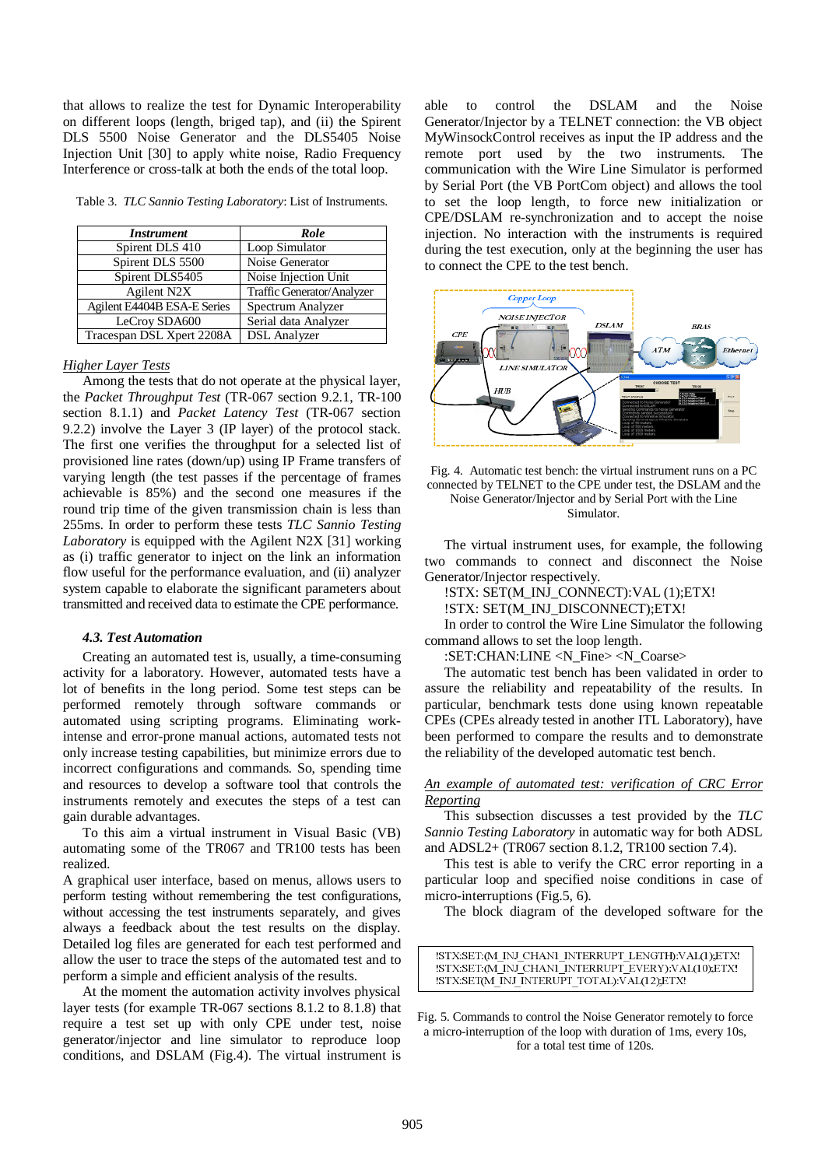that allows to realize the test for Dynamic Interoperability on different loops (length, briged tap), and (ii) the Spirent DLS 5500 Noise Generator and the DLS5405 Noise Injection Unit [30] to apply white noise, Radio Frequency Interference or cross-talk at both the ends of the total loop.

Table 3. *TLC Sannio Testing Laboratory*: List of Instruments.

| <b>Instrument</b>           | Role                       |
|-----------------------------|----------------------------|
| Spirent DLS 410             | Loop Simulator             |
| Spirent DLS 5500            | Noise Generator            |
| Spirent DLS5405             | Noise Injection Unit       |
| Agilent N2X                 | Traffic Generator/Analyzer |
| Agilent E4404B ESA-E Series | Spectrum Analyzer          |
| LeCroy SDA600               | Serial data Analyzer       |
| Tracespan DSL Xpert 2208A   | <b>DSL</b> Analyzer        |

#### *Higher Layer Tests*

Among the tests that do not operate at the physical layer, the *Packet Throughput Test* (TR-067 section 9.2.1, TR-100 section 8.1.1) and *Packet Latency Test* (TR-067 section 9.2.2) involve the Layer 3 (IP layer) of the protocol stack. The first one verifies the throughput for a selected list of provisioned line rates (down/up) using IP Frame transfers of varying length (the test passes if the percentage of frames achievable is 85%) and the second one measures if the round trip time of the given transmission chain is less than 255ms. In order to perform these tests *TLC Sannio Testing Laboratory* is equipped with the Agilent N2X [31] working as (i) traffic generator to inject on the link an information flow useful for the performance evaluation, and (ii) analyzer system capable to elaborate the significant parameters about transmitted and received data to estimate the CPE performance.

#### *4.3. Test Automation*

Creating an automated test is, usually, a time-consuming activity for a laboratory. However, automated tests have a lot of benefits in the long period. Some test steps can be performed remotely through software commands or automated using scripting programs. Eliminating workintense and error-prone manual actions, automated tests not only increase testing capabilities, but minimize errors due to incorrect configurations and commands. So, spending time and resources to develop a software tool that controls the instruments remotely and executes the steps of a test can gain durable advantages.

To this aim a virtual instrument in Visual Basic (VB) automating some of the TR067 and TR100 tests has been realized.

A graphical user interface, based on menus, allows users to perform testing without remembering the test configurations, without accessing the test instruments separately, and gives always a feedback about the test results on the display. Detailed log files are generated for each test performed and allow the user to trace the steps of the automated test and to perform a simple and efficient analysis of the results.

At the moment the automation activity involves physical layer tests (for example TR-067 sections 8.1.2 to 8.1.8) that require a test set up with only CPE under test, noise generator/injector and line simulator to reproduce loop conditions, and DSLAM (Fig.4). The virtual instrument is able to control the DSLAM and the Noise Generator/Injector by a TELNET connection: the VB object MyWinsockControl receives as input the IP address and the remote port used by the two instruments. The communication with the Wire Line Simulator is performed by Serial Port (the VB PortCom object) and allows the tool to set the loop length, to force new initialization or CPE/DSLAM re-synchronization and to accept the noise injection. No interaction with the instruments is required during the test execution, only at the beginning the user has to connect the CPE to the test bench.





The virtual instrument uses, for example, the following two commands to connect and disconnect the Noise Generator/Injector respectively.

!STX: SET(M\_INJ\_CONNECT):VAL (1);ETX!

!STX: SET(M\_INJ\_DISCONNECT);ETX!

In order to control the Wire Line Simulator the following command allows to set the loop length.

:SET:CHAN:LINE <N\_Fine> <N\_Coarse>

The automatic test bench has been validated in order to assure the reliability and repeatability of the results. In particular, benchmark tests done using known repeatable CPEs (CPEs already tested in another ITL Laboratory), have been performed to compare the results and to demonstrate the reliability of the developed automatic test bench.

*An example of automated test: verification of CRC Error Reporting*

This subsection discusses a test provided by the *TLC Sannio Testing Laboratory* in automatic way for both ADSL and ADSL2+ (TR067 section 8.1.2, TR100 section 7.4).

This test is able to verify the CRC error reporting in a particular loop and specified noise conditions in case of micro-interruptions (Fig.5, 6).

The block diagram of the developed software for the

!STX;SET:(M INJ CHAN1 INTERRUPT LENGTH):VAL(1);ETX! !STX:SET:(M\_INJ\_CHANI\_INTERRUPT\_EVERY):VAL(10),ETX! STX:SET(M INJ INTERUPT TOTAL):VAL(12),ETX!

Fig. 5. Commands to control the Noise Generator remotely to force a micro-interruption of the loop with duration of 1ms, every 10s, for a total test time of 120s.